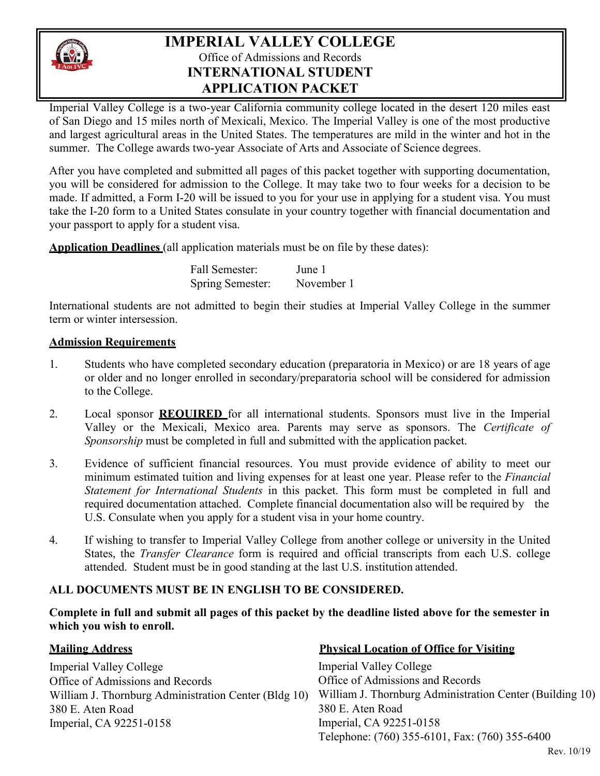

# **IMPERIAL VALLEY COLLEGE** Office of Admissions and Records **INTERNATIONAL STUDENT APPLICATION PACKET**

Imperial Valley College is a two-year California community college located in the desert 120 miles east of San Diego and 15 miles north of Mexicali, Mexico. The Imperial Valley is one of the most productive and largest agricultural areas in the United States. The temperatures are mild in the winter and hot in the summer. The College awards two-year Associate of Arts and Associate of Science degrees.

After you have completed and submitted all pages of this packet together with supporting documentation, you will be considered for admission to the College. It may take two to four weeks for a decision to be made. If admitted, a Form I-20 will be issued to you for your use in applying for a student visa. You must take the I-20 form to a United States consulate in your country together with financial documentation and your passport to apply for a student visa.

**Application Deadlines** (all application materials must be on file by these dates):

Fall Semester: June 1 Spring Semester: November 1

International students are not admitted to begin their studies at Imperial Valley College in the summer term or winter intersession.

#### **Admission Requirements**

- 1. Students who have completed secondary education (preparatoria in Mexico) or are 18 years of age or older and no longer enrolled in secondary/preparatoria school will be considered for admission to the College.
- 2. Local sponsor **REQUIRED** for all international students. Sponsors must live in the Imperial Valley or the Mexicali, Mexico area. Parents may serve as sponsors. The *Certificate of Sponsorship* must be completed in full and submitted with the application packet.
- 3. Evidence of sufficient financial resources. You must provide evidence of ability to meet our minimum estimated tuition and living expenses for at least one year. Please refer to the *Financial Statement for International Students* in this packet. This form must be completed in full and required documentation attached. Complete financial documentation also will be required by the U.S. Consulate when you apply for a student visa in your home country.
- 4. If wishing to transfer to Imperial Valley College from another college or university in the United States, the *Transfer Clearance* form is required and official transcripts from each U.S. college attended. Student must be in good standing at the last U.S. institution attended.

### **ALL DOCUMENTS MUST BE IN ENGLISH TO BE CONSIDERED.**

**Complete in full and submit all pages of this packet by the deadline listed above for the semester in which you wish to enroll.**

Imperial Valley College Office of Admissions and Records William J. Thornburg Administration Center (Bldg 10) 380 E. Aten Road Imperial, CA 92251-0158

#### **Mailing Address Physical Location of Office for Visiting**

Imperial Valley College Office of Admissions and Records William J. Thornburg Administration Center (Building 10) 380 E. Aten Road Imperial, CA 92251-0158 Telephone: (760) 355-6101, Fax: (760) 355-6400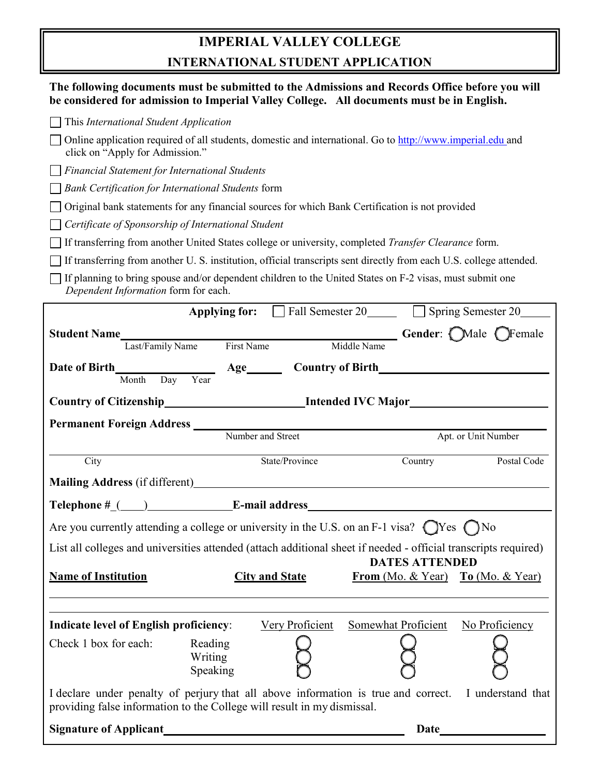# **IMPERIAL VALLEY COLLEGE INTERNATIONAL STUDENT APPLICATION**

| The following documents must be submitted to the Admissions and Records Office before you will<br>be considered for admission to Imperial Valley College. All documents must be in English. |                                                               |                                       |                     |  |  |  |
|---------------------------------------------------------------------------------------------------------------------------------------------------------------------------------------------|---------------------------------------------------------------|---------------------------------------|---------------------|--|--|--|
| This International Student Application                                                                                                                                                      |                                                               |                                       |                     |  |  |  |
| Online application required of all students, domestic and international. Go to http://www.imperial.edu and<br>click on "Apply for Admission."                                               |                                                               |                                       |                     |  |  |  |
| <b>Financial Statement for International Students</b>                                                                                                                                       |                                                               |                                       |                     |  |  |  |
| <b>Bank Certification for International Students form</b>                                                                                                                                   |                                                               |                                       |                     |  |  |  |
| Original bank statements for any financial sources for which Bank Certification is not provided                                                                                             |                                                               |                                       |                     |  |  |  |
| Certificate of Sponsorship of International Student                                                                                                                                         |                                                               |                                       |                     |  |  |  |
| If transferring from another United States college or university, completed Transfer Clearance form.                                                                                        |                                                               |                                       |                     |  |  |  |
| If transferring from another U.S. institution, official transcripts sent directly from each U.S. college attended.                                                                          |                                                               |                                       |                     |  |  |  |
| If planning to bring spouse and/or dependent children to the United States on F-2 visas, must submit one<br>Dependent Information form for each.                                            |                                                               |                                       |                     |  |  |  |
|                                                                                                                                                                                             | Applying for: Fall Semester 20 Spring Semester 20             |                                       |                     |  |  |  |
| <b>Student Name</b>                                                                                                                                                                         | Last/Family Name First Name Middle Name Gender: OMale OFemale |                                       |                     |  |  |  |
|                                                                                                                                                                                             |                                                               |                                       |                     |  |  |  |
|                                                                                                                                                                                             |                                                               |                                       |                     |  |  |  |
| Year<br>Month<br>Day                                                                                                                                                                        |                                                               |                                       |                     |  |  |  |
| Country of Citizenship______________________________Intended IVC Major______________________________                                                                                        |                                                               |                                       |                     |  |  |  |
|                                                                                                                                                                                             |                                                               |                                       |                     |  |  |  |
|                                                                                                                                                                                             | Number and Street                                             |                                       | Apt. or Unit Number |  |  |  |
| City                                                                                                                                                                                        | State/Province                                                | Country                               | Postal Code         |  |  |  |
|                                                                                                                                                                                             |                                                               |                                       |                     |  |  |  |
| Telephone #_(___)_____________________E-mail address____                                                                                                                                    |                                                               |                                       |                     |  |  |  |
| Are you currently attending a college or university in the U.S. on an F-1 visa? $\bigcirc$ Yes $\bigcirc$ No                                                                                |                                                               |                                       |                     |  |  |  |
| List all colleges and universities attended (attach additional sheet if needed - official transcripts required)                                                                             |                                                               |                                       |                     |  |  |  |
|                                                                                                                                                                                             |                                                               | <b>DATES ATTENDED</b>                 |                     |  |  |  |
| <b>Name of Institution</b>                                                                                                                                                                  | <b>City and State</b>                                         | From $(Mo. & Year)$ To $(Mo. & Year)$ |                     |  |  |  |
|                                                                                                                                                                                             |                                                               |                                       |                     |  |  |  |
| <b>Indicate level of English proficiency:</b>                                                                                                                                               | Very Proficient                                               | Somewhat Proficient                   | No Proficiency      |  |  |  |
|                                                                                                                                                                                             |                                                               |                                       |                     |  |  |  |
| Check 1 box for each:<br>Reading<br>Writing                                                                                                                                                 |                                                               |                                       |                     |  |  |  |
| Speaking                                                                                                                                                                                    |                                                               |                                       |                     |  |  |  |
| I declare under penalty of perjury that all above information is true and correct. I understand that<br>providing false information to the College will result in my dismissal.             |                                                               |                                       |                     |  |  |  |
|                                                                                                                                                                                             |                                                               | Date____                              |                     |  |  |  |
|                                                                                                                                                                                             |                                                               |                                       |                     |  |  |  |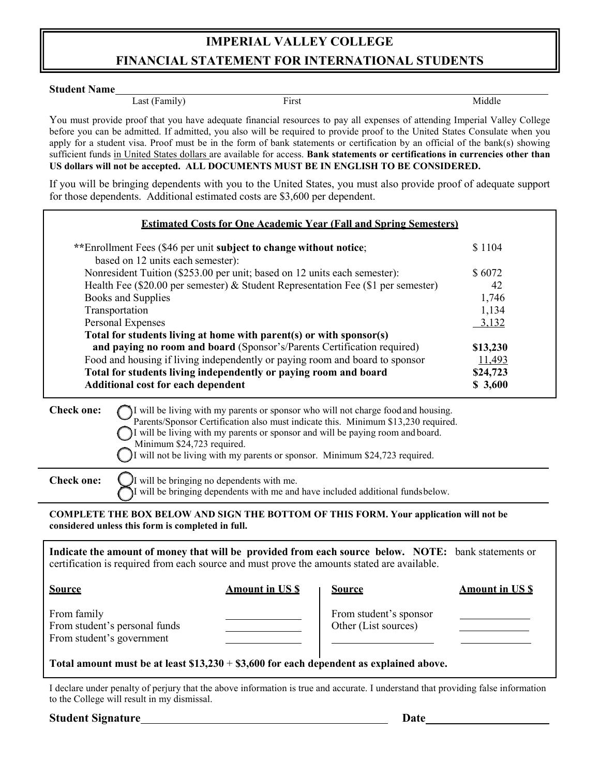# **IMPERIAL VALLEY COLLEGE FINANCIAL STATEMENT FOR INTERNATIONAL STUDENTS**

#### **Student Name**

Last (Family) First First Middle

You must provide proof that you have adequate financial resources to pay all expenses of attending Imperial Valley College before you can be admitted. If admitted, you also will be required to provide proof to the United States Consulate when you apply for a student visa. Proof must be in the form of bank statements or certification by an official of the bank(s) showing sufficient funds in United States dollars are available for access. **Bank statements or certifications in currencies other than US dollars will not be accepted. ALL DOCUMENTS MUST BE IN ENGLISH TO BE CONSIDERED.**

If you will be bringing dependents with you to the United States, you must also provide proof of adequate support for those dependents. Additional estimated costs are \$3,600 per dependent.

| <b>Estimated Costs for One Academic Year (Fall and Spring Semesters)</b>                                                                                                                                                                                                                                  |          |  |
|-----------------------------------------------------------------------------------------------------------------------------------------------------------------------------------------------------------------------------------------------------------------------------------------------------------|----------|--|
| **Enrollment Fees (\$46 per unit subject to change without notice;<br>based on 12 units each semester):                                                                                                                                                                                                   | \$1104   |  |
| Nonresident Tuition (\$253.00 per unit; based on 12 units each semester):                                                                                                                                                                                                                                 | \$6072   |  |
| Health Fee (\$20.00 per semester) & Student Representation Fee (\$1 per semester)                                                                                                                                                                                                                         | 42       |  |
| Books and Supplies                                                                                                                                                                                                                                                                                        | 1,746    |  |
| Transportation                                                                                                                                                                                                                                                                                            | 1,134    |  |
| Personal Expenses                                                                                                                                                                                                                                                                                         | 3,132    |  |
| Total for students living at home with parent(s) or with sponsor(s)                                                                                                                                                                                                                                       |          |  |
| and paying no room and board (Sponsor's/Parents Certification required)                                                                                                                                                                                                                                   | \$13,230 |  |
| Food and housing if living independently or paying room and board to sponsor                                                                                                                                                                                                                              | 11,493   |  |
| Total for students living independently or paying room and board                                                                                                                                                                                                                                          | \$24,723 |  |
| <b>Additional cost for each dependent</b>                                                                                                                                                                                                                                                                 | \$3,600  |  |
| <b>Check one:</b><br>I will be living with my parents or sponsor who will not charge food and housing.<br>Parents/Sponsor Certification also must indicate this. Minimum \$13,230 required.<br>will be living with my parents or sponsor and will be paying room and board.<br>Minimum \$24,723 required. |          |  |

**Check one:**  $\bigcup$  I will be bringing no dependents with me. I will be bringing dependents with me and have included additional fundsbelow.

**COMPLETE THE BOX BELOW AND SIGN THE BOTTOM OF THIS FORM. Your application will not be considered unless this form is completed in full.**

I will not be living with my parents or sponsor. Minimum \$24,723 required.

| Indicate the amount of money that will be provided from each source below. NOTE: bank statements or<br>certification is required from each source and must prove the amounts stated are available. |                      |                                                |                      |
|----------------------------------------------------------------------------------------------------------------------------------------------------------------------------------------------------|----------------------|------------------------------------------------|----------------------|
| <b>Source</b>                                                                                                                                                                                      | <b>Amount in USS</b> | <b>Source</b>                                  | <b>Amount in USS</b> |
| From family<br>From student's personal funds<br>From student's government                                                                                                                          |                      | From student's sponsor<br>Other (List sources) |                      |
| Total amount must be at least $$13,230 + $3,600$ for each dependent as explained above.                                                                                                            |                      |                                                |                      |

I declare under penalty of perjury that the above information is true and accurate. I understand that providing false information to the College will result in my dismissal.

**Student Signature Date**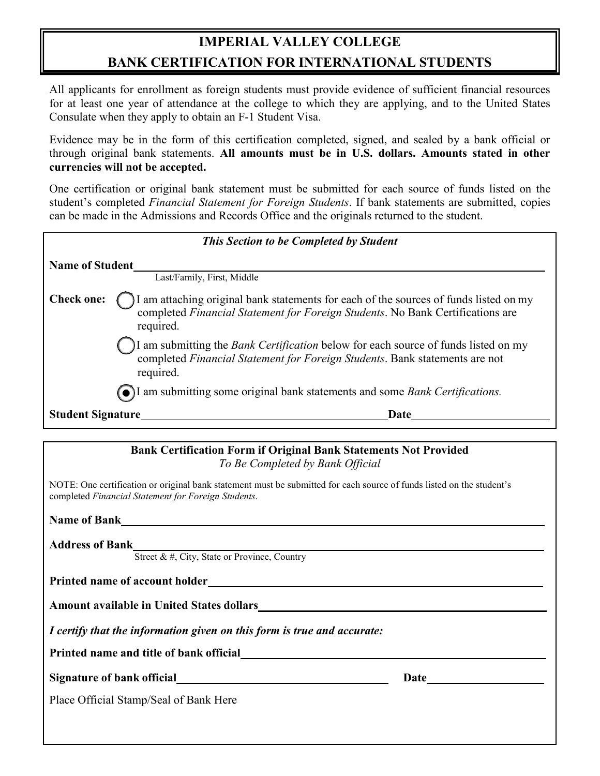# **IMPERIAL VALLEY COLLEGE BANK CERTIFICATION FOR INTERNATIONAL STUDENTS**

All applicants for enrollment as foreign students must provide evidence of sufficient financial resources for at least one year of attendance at the college to which they are applying, and to the United States Consulate when they apply to obtain an F-1 Student Visa.

Evidence may be in the form of this certification completed, signed, and sealed by a bank official or through original bank statements. **All amounts must be in U.S. dollars. Amounts stated in other currencies will not be accepted.**

One certification or original bank statement must be submitted for each source of funds listed on the student's completed *Financial Statement for Foreign Students*. If bank statements are submitted, copies can be made in the Admissions and Records Office and the originals returned to the student.

| This Section to be Completed by Student                                                                                                                                                                   |  |  |  |
|-----------------------------------------------------------------------------------------------------------------------------------------------------------------------------------------------------------|--|--|--|
| <b>Name of Student</b>                                                                                                                                                                                    |  |  |  |
| Last/Family, First, Middle                                                                                                                                                                                |  |  |  |
| I am attaching original bank statements for each of the sources of funds listed on my<br><b>Check one:</b><br>completed Financial Statement for Foreign Students. No Bank Certifications are<br>required. |  |  |  |
| I am submitting the Bank Certification below for each source of funds listed on my<br>completed Financial Statement for Foreign Students. Bank statements are not<br>required.                            |  |  |  |
| I am submitting some original bank statements and some Bank Certifications.                                                                                                                               |  |  |  |
| <b>Student Signature</b><br>Date                                                                                                                                                                          |  |  |  |
|                                                                                                                                                                                                           |  |  |  |

| <b>Bank Certification Form if Original Bank Statements Not Provided</b><br>To Be Completed by Bank Official                                                                  |                                                                                                                                                                                                                                     |  |  |  |
|------------------------------------------------------------------------------------------------------------------------------------------------------------------------------|-------------------------------------------------------------------------------------------------------------------------------------------------------------------------------------------------------------------------------------|--|--|--|
| NOTE: One certification or original bank statement must be submitted for each source of funds listed on the student's<br>completed Financial Statement for Foreign Students. |                                                                                                                                                                                                                                     |  |  |  |
|                                                                                                                                                                              |                                                                                                                                                                                                                                     |  |  |  |
| <b>Address of Bank</b><br>Street & #, City, State or Province, Country                                                                                                       |                                                                                                                                                                                                                                     |  |  |  |
| Printed name of account holder experience of the state of a count holder                                                                                                     |                                                                                                                                                                                                                                     |  |  |  |
|                                                                                                                                                                              |                                                                                                                                                                                                                                     |  |  |  |
| I certify that the information given on this form is true and accurate:                                                                                                      |                                                                                                                                                                                                                                     |  |  |  |
|                                                                                                                                                                              |                                                                                                                                                                                                                                     |  |  |  |
| Signature of bank official states and states of bank official                                                                                                                | <b>Date</b> and the same of the same of the same of the same of the same of the same of the same of the same of the same of the same of the same of the same of the same of the same of the same of the same of the same of the sam |  |  |  |
| Place Official Stamp/Seal of Bank Here                                                                                                                                       |                                                                                                                                                                                                                                     |  |  |  |
|                                                                                                                                                                              |                                                                                                                                                                                                                                     |  |  |  |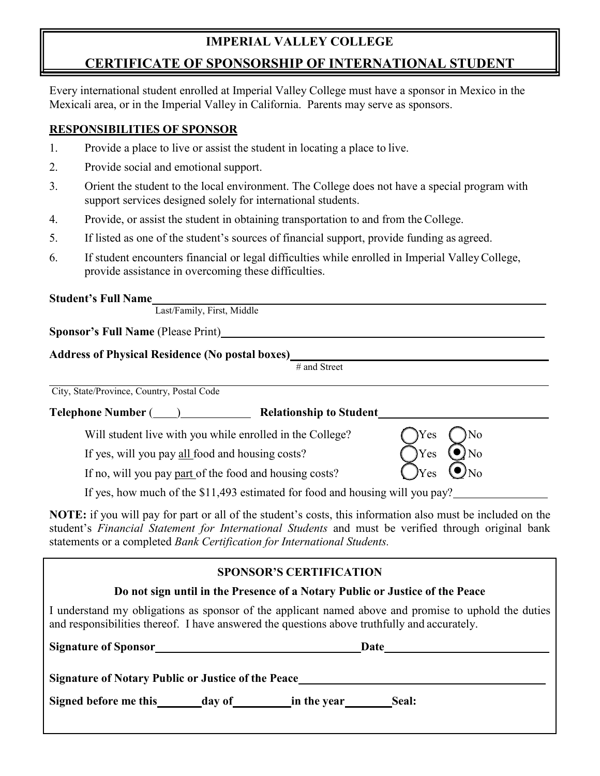## **IMPERIAL VALLEY COLLEGE**

# **CERTIFICATE OF SPONSORSHIP OF INTERNATIONAL STUDENT**

Every international student enrolled at Imperial Valley College must have a sponsor in Mexico in the Mexicali area, or in the Imperial Valley in California. Parents may serve as sponsors.

#### **RESPONSIBILITIES OF SPONSOR**

- 1. Provide a place to live or assist the student in locating a place to live.
- 2. Provide social and emotional support.
- 3. Orient the student to the local environment. The College does not have a special program with support services designed solely for international students.
- 4. Provide, or assist the student in obtaining transportation to and from the College.
- 5. If listed as one of the student's sources of financial support, provide funding as agreed.
- 6. If student encounters financial or legal difficulties while enrolled in Imperial ValleyCollege, provide assistance in overcoming these difficulties.

| <b>Student's Full Name</b><br>Last/Family, First, Middle                                                                                                                                                                  |
|---------------------------------------------------------------------------------------------------------------------------------------------------------------------------------------------------------------------------|
| <b>Sponsor's Full Name (Please Print)</b>                                                                                                                                                                                 |
| <b>Address of Physical Residence (No postal boxes)</b><br># and Street                                                                                                                                                    |
| City, State/Province, Country, Postal Code                                                                                                                                                                                |
| Telephone Number (Compared also Relationship to Student                                                                                                                                                                   |
| Yes)<br>Will student live with you while enrolled in the College?<br>No                                                                                                                                                   |
| Yes<br>If yes, will you pay all food and housing costs?<br>No                                                                                                                                                             |
| Yes<br>If no, will you pay part of the food and housing costs?                                                                                                                                                            |
| If yes, how much of the \$11,493 estimated for food and housing will you pay?                                                                                                                                             |
| NOTE: if you will pay for part or all of the student's costs, this information also must be included on the<br>student's <i>Financial Statement for International Students</i> and must be verified through original bank |

student's *Financial Statement for International Students* and must be verified through original bank statements or a completed *Bank Certification for International Students.*

#### **SPONSOR'S CERTIFICATION**

#### **Do not sign until in the Presence of a Notary Public or Justice of the Peace**

I understand my obligations as sponsor of the applicant named above and promise to uphold the duties and responsibilities thereof. I have answered the questions above truthfully and accurately.

| <b>Signature of Sponsor</b>                               |        |             | Date  |
|-----------------------------------------------------------|--------|-------------|-------|
| <b>Signature of Notary Public or Justice of the Peace</b> |        |             |       |
| Signed before me this                                     | day of | in the year | Seal: |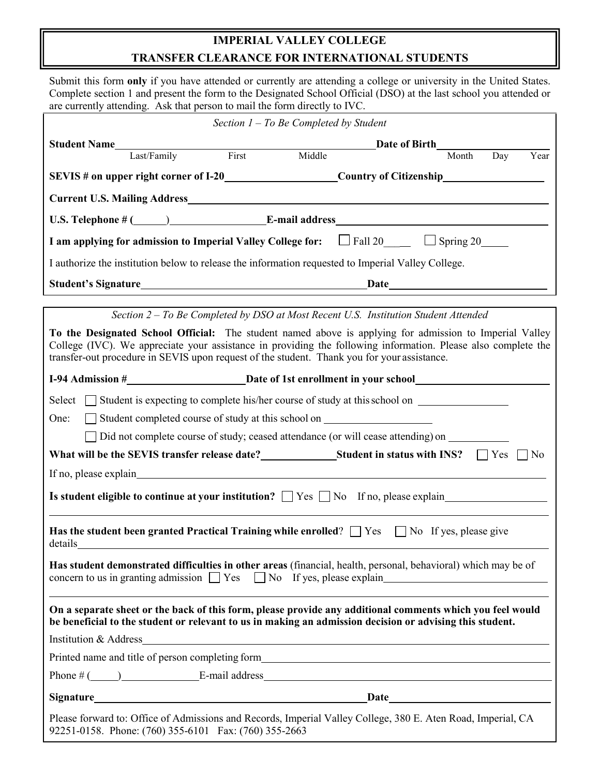## **IMPERIAL VALLEY COLLEGE TRANSFER CLEARANCE FOR INTERNATIONAL STUDENTS**

Submit this form **only** if you have attended or currently are attending a college or university in the United States. Complete section 1 and present the form to the Designated School Official (DSO) at the last school you attended or are currently attending. Ask that person to mail the form directly to IVC.

| Section $1 - To$ Be Completed by Student                                                                                                                                                                                                                                                                                                                                                         |  |  |  |  |  |
|--------------------------------------------------------------------------------------------------------------------------------------------------------------------------------------------------------------------------------------------------------------------------------------------------------------------------------------------------------------------------------------------------|--|--|--|--|--|
| <b>Student Name</b><br>Date of Birth                                                                                                                                                                                                                                                                                                                                                             |  |  |  |  |  |
| First<br>Middle<br>Last/Family<br>Day<br>Year<br>Month                                                                                                                                                                                                                                                                                                                                           |  |  |  |  |  |
|                                                                                                                                                                                                                                                                                                                                                                                                  |  |  |  |  |  |
| <b>Current U.S. Mailing Address</b> Manual Current U.S. Mailing Address                                                                                                                                                                                                                                                                                                                          |  |  |  |  |  |
|                                                                                                                                                                                                                                                                                                                                                                                                  |  |  |  |  |  |
| I am applying for admission to Imperial Valley College for: $\Box$ Fall 20 $\Box$ Spring 20                                                                                                                                                                                                                                                                                                      |  |  |  |  |  |
| I authorize the institution below to release the information requested to Imperial Valley College.                                                                                                                                                                                                                                                                                               |  |  |  |  |  |
|                                                                                                                                                                                                                                                                                                                                                                                                  |  |  |  |  |  |
| Section 2 – To Be Completed by DSO at Most Recent U.S. Institution Student Attended                                                                                                                                                                                                                                                                                                              |  |  |  |  |  |
| To the Designated School Official: The student named above is applying for admission to Imperial Valley<br>College (IVC). We appreciate your assistance in providing the following information. Please also complete the<br>transfer-out procedure in SEVIS upon request of the student. Thank you for your assistance.                                                                          |  |  |  |  |  |
|                                                                                                                                                                                                                                                                                                                                                                                                  |  |  |  |  |  |
| Select $\Box$ Student is expecting to complete his/her course of study at this school on $\Box$<br>Student completed course of study at this school on ____________________________<br>One:<br>□ Did not complete course of study; ceased attendance (or will cease attending) on<br>What will be the SEVIS transfer release date?<br><u>Student in status with INS?</u> $\Box$ Yes<br>$\Box$ No |  |  |  |  |  |
|                                                                                                                                                                                                                                                                                                                                                                                                  |  |  |  |  |  |
| Is student eligible to continue at your institution? $\Box$ Yes $\Box$ No If no, please explain                                                                                                                                                                                                                                                                                                  |  |  |  |  |  |
| <b>Has the student been granted Practical Training while enrolled?</b> $\Box$ Yes $\Box$ No If yes, please give<br>details<br><u> 1989 - Johann Harry Harry Harry Harry Harry Harry Harry Harry Harry Harry Harry Harry Harry Harry Harry Harry</u>                                                                                                                                              |  |  |  |  |  |
| Has student demonstrated difficulties in other areas (financial, health, personal, behavioral) which may be of<br>concern to us in granting admission $\Box$ Yes $\Box$ No If yes, please explain $\Box$                                                                                                                                                                                         |  |  |  |  |  |
| On a separate sheet or the back of this form, please provide any additional comments which you feel would<br>be beneficial to the student or relevant to us in making an admission decision or advising this student.                                                                                                                                                                            |  |  |  |  |  |
|                                                                                                                                                                                                                                                                                                                                                                                                  |  |  |  |  |  |
|                                                                                                                                                                                                                                                                                                                                                                                                  |  |  |  |  |  |
| Phone $\#$ ( $\qquad$ ) E-mail address E-mail and E-mail and E-mail and E-mail and E-mail and E-mail and E-mail and E-mail and E-mail and E-mail and E-mail and E-mail and E-mail and E-mail and E-mail and E-mail and E-mail and                                                                                                                                                                |  |  |  |  |  |
|                                                                                                                                                                                                                                                                                                                                                                                                  |  |  |  |  |  |
| Please forward to: Office of Admissions and Records, Imperial Valley College, 380 E. Aten Road, Imperial, CA<br>92251-0158. Phone: (760) 355-6101 Fax: (760) 355-2663                                                                                                                                                                                                                            |  |  |  |  |  |